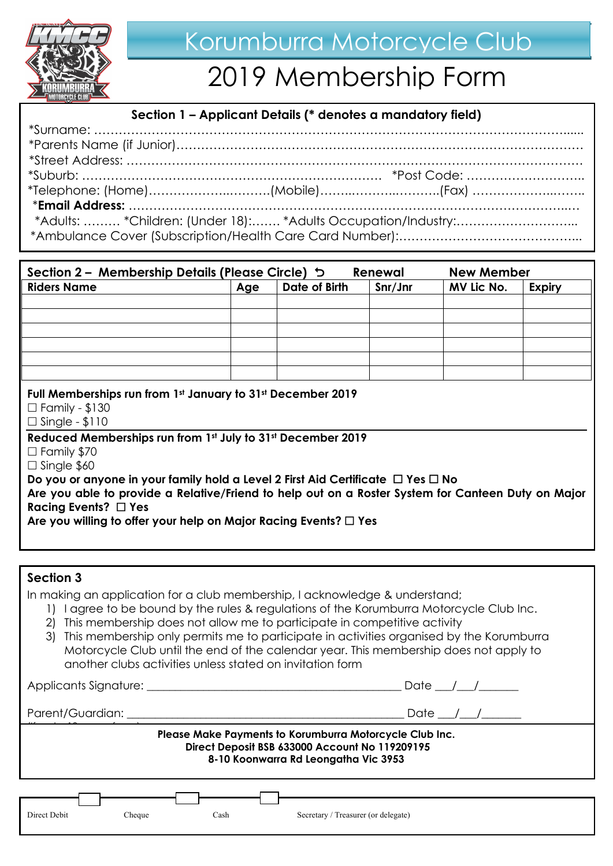

# 2019 Membership Form

## **Section 1 – Applicant Details (\* denotes a mandatory field)**

| *Adults:  *Children: (Under 18): *Adults Occupation/Industry: |  |  |
|---------------------------------------------------------------|--|--|
|                                                               |  |  |
|                                                               |  |  |

| Section 2 – Membership Details (Please Circle) 5                                                                                                                                                                                                                                                                                                                                                                                                                                                                                  |     |               | Renewal | <b>New Member</b> |               |
|-----------------------------------------------------------------------------------------------------------------------------------------------------------------------------------------------------------------------------------------------------------------------------------------------------------------------------------------------------------------------------------------------------------------------------------------------------------------------------------------------------------------------------------|-----|---------------|---------|-------------------|---------------|
| <b>Riders Name</b>                                                                                                                                                                                                                                                                                                                                                                                                                                                                                                                | Age | Date of Birth | Snr/Jnr | MV Lic No.        | <b>Expiry</b> |
|                                                                                                                                                                                                                                                                                                                                                                                                                                                                                                                                   |     |               |         |                   |               |
|                                                                                                                                                                                                                                                                                                                                                                                                                                                                                                                                   |     |               |         |                   |               |
|                                                                                                                                                                                                                                                                                                                                                                                                                                                                                                                                   |     |               |         |                   |               |
|                                                                                                                                                                                                                                                                                                                                                                                                                                                                                                                                   |     |               |         |                   |               |
|                                                                                                                                                                                                                                                                                                                                                                                                                                                                                                                                   |     |               |         |                   |               |
|                                                                                                                                                                                                                                                                                                                                                                                                                                                                                                                                   |     |               |         |                   |               |
| Full Memberships run from 1st January to 31st December 2019<br>$\Box$ Family - \$130<br>$\Box$ Single - \$110<br>Reduced Memberships run from 1st July to 31st December 2019<br>$\Box$ Family \$70<br>$\Box$ Single \$60<br>Do you or anyone in your family hold a Level 2 First Aid Certificate $\Box$ Yes $\Box$ No<br>Are you able to provide a Relative/Friend to help out on a Roster System for Canteen Duty on Major<br>Racing Events? $\Box$ Yes<br>Are you willing to offer your help on Major Racing Events? $\Box$ Yes |     |               |         |                   |               |
|                                                                                                                                                                                                                                                                                                                                                                                                                                                                                                                                   |     |               |         |                   |               |
|                                                                                                                                                                                                                                                                                                                                                                                                                                                                                                                                   |     |               |         |                   |               |

# **Section 3**

In making an application for a club membership, I acknowledge & understand;

- 1) I agree to be bound by the rules & regulations of the Korumburra Motorcycle Club Inc.
- 2) This membership does not allow me to participate in competitive activity
- 3) This membership only permits me to participate in activities organised by the Korumburra Motorcycle Club until the end of the calendar year. This membership does not apply to another clubs activities unless stated on invitation form

Applicants Signature: \_\_\_\_\_\_\_\_\_\_\_\_\_\_\_\_\_\_\_\_\_\_\_\_\_\_\_\_\_\_\_\_\_\_\_\_\_\_\_\_\_\_\_\_\_ Date \_\_\_/\_\_\_/\_\_\_\_\_\_\_ Parent/Guardian: \_\_\_\_\_\_\_\_\_\_\_\_\_\_\_\_\_\_\_\_\_\_\_\_\_\_\_\_\_\_\_\_\_\_\_\_\_\_\_\_\_\_\_\_\_\_\_\_\_ Date \_\_\_/\_\_\_/\_\_\_\_\_\_\_  $\frac{1}{2}$   $\frac{1}{2}$   $\frac{1}{2}$   $\frac{1}{2}$   $\frac{1}{2}$   $\frac{1}{2}$   $\frac{1}{2}$   $\frac{1}{2}$   $\frac{1}{2}$   $\frac{1}{2}$   $\frac{1}{2}$   $\frac{1}{2}$   $\frac{1}{2}$   $\frac{1}{2}$   $\frac{1}{2}$   $\frac{1}{2}$   $\frac{1}{2}$   $\frac{1}{2}$   $\frac{1}{2}$   $\frac{1}{2}$   $\frac{1}{2}$   $\frac{1}{2}$  **Please Make Payments to Korumburra Motorcycle Club Inc. Direct Deposit BSB 633000 Account No 119209195 8-10 Koonwarra Rd Leongatha Vic 3953** Direct Debit Cheque Cash Secretary / Treasurer (or delegate)